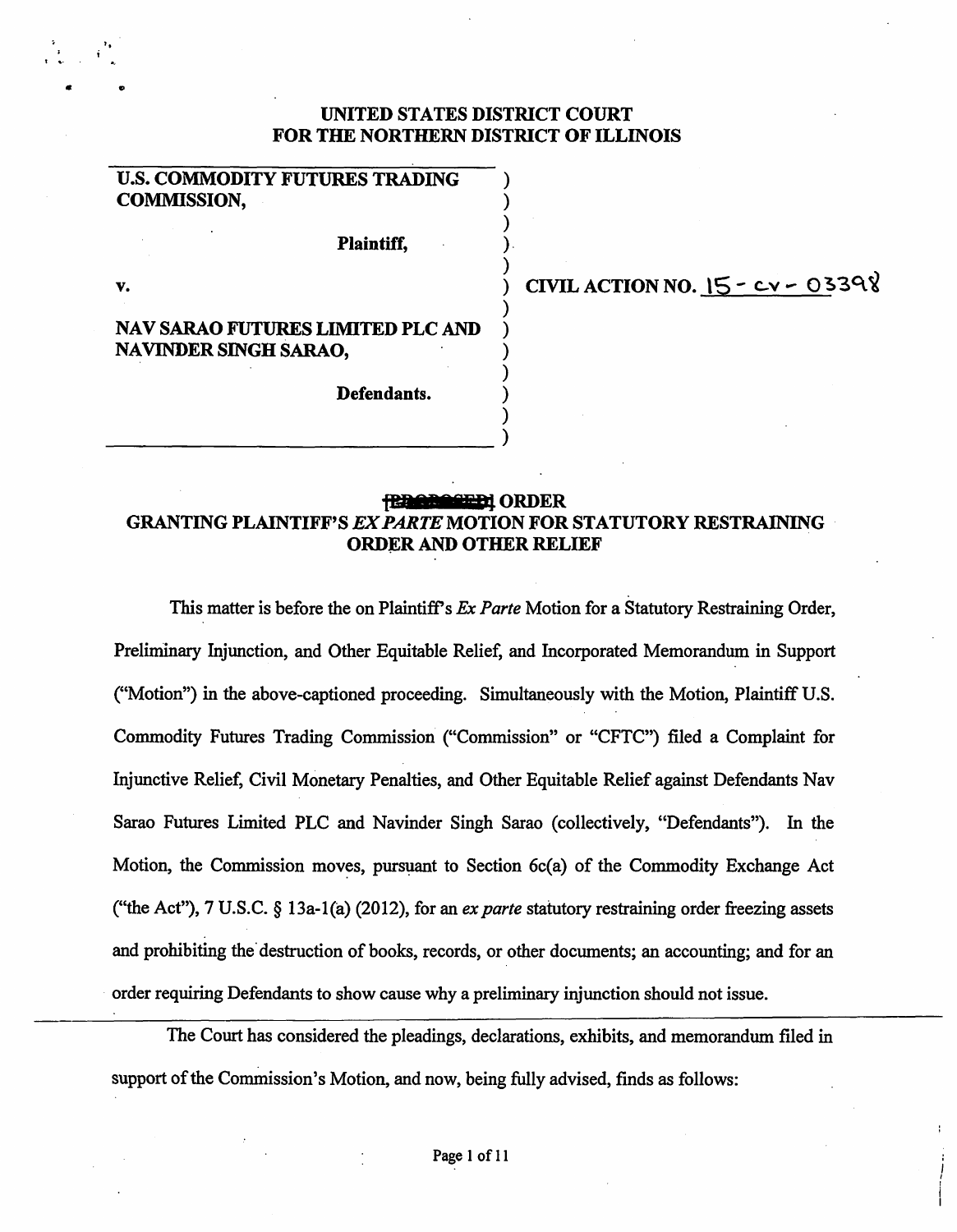# UNITED STATES DISTRICT COURT FOR THE NORTHERN DISTRICT OF ILLINOIS

) ) ) ). )

) ) ) ) )

## U.S. COMMODITY FUTURES TRADING COMMISSION,

Plaintiff,

v.

<sup>t</sup>' ...

 $\bullet$   $\bullet$ 

# NAV SARAO FUTURES LIMITED PLC AND NA VINDER SINGH SARAO,

)  $_{\rm j}$ 

CIVIL ACTION NO.  $15-$  cv - 03398

#### Defendants.

# **BESTEEN ORDER** GRANTING PLAINTIFF'S *EX PARTE* MOTION FOR STATUTORY RESTRAINING ORDER AND OTHER RELIEF

This matter is before the on Plaintiff's Ex *Parte* Motion for a Statutory Restraining Order, Preliminary Injunction, and Other Equitable Relief, and Incorporated Memorandum in Support ("Motion") in the above-captioned proceeding. Simultaneously with the Motion, Plaintiff U.S. Commodity Futures Trading Commission ("Commission" or "CFTC") filed a Complaint for Injunctive Relief, Civil Monetary Penalties, and Other Equitable Relief against Defendants Nav Sarao Futures Limited PLC and Navinder Singh Sarao (collectively, "Defendants"). In the Motion, the Commission moves, pursuant to Section  $6c(a)$  of the Commodity Exchange Act ("the Act"), 7 U.S.C. § 13a-1(a) (2012), for an *ex parte* statutory restraining order freezing assets and prohibiting the destruction of books, records, or other documents; an accounting; and for an order requiring Defendants to show cause why a preliminary injunction should not issue.

The Court has considered the pleadings, declarations, exhibits, and memorandum filed in support of the Commission's Motion, and now, being fully advised, finds as follows: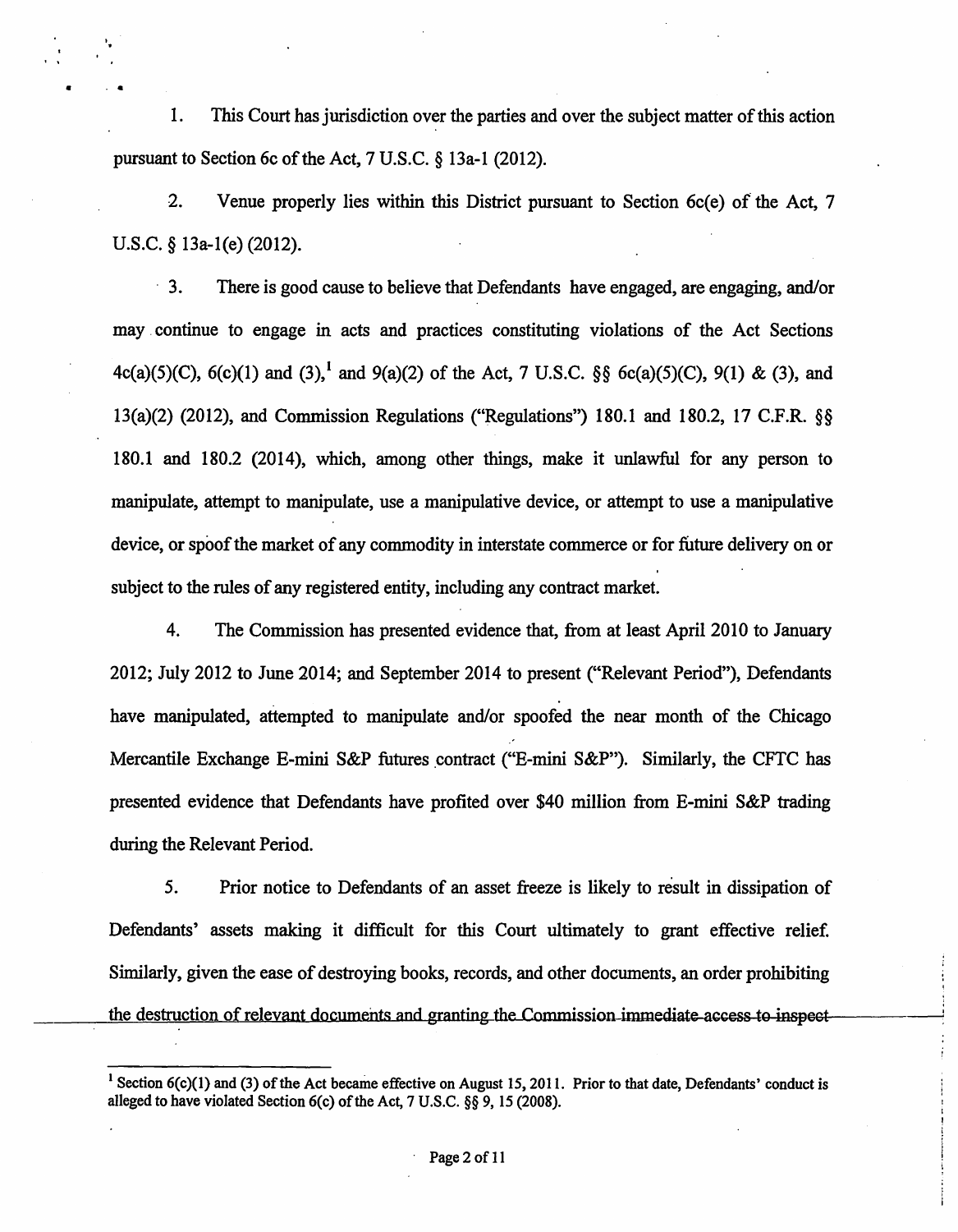1. This Court has jurisdiction over the parties and over the subject matter of this action pursuant to Section 6c of the Act, 7 U.S.C. § 13a-1 (2012).

· ..

. . .

2. Venue properly lies within this District pursuant to Section 6c(e) of the Act, 7 U.S.C. § 13a-1(e) (2012).

· 3. There is good cause to believe that Defendants have engaged, are engaging, and/or may . continue to engage in acts and practices constituting violations of the Act Sections 4c(a)(5)(C), 6(c)(1) and (3),<sup>1</sup> and 9(a)(2) of the Act, 7 U.S.C. §§ 6c(a)(5)(C), 9(1) & (3), and 13(a)(2) (2012), and Commission Regulations ("Regulations") 180.1 and 180.2, 17 C.F.R. §§ 180.1 and 180.2 (2014), which, among other things, make it unlawful for any person to manipulate, attempt to manipulate, use a manipulative device, or attempt to use a manipulative device, or spoof the market of any commodity in interstate commerce or for future delivery on or subject to the rules of any registered entity, including any contract market.

4. The Commission has presented evidence that, from at least April 2010 to January 2012; July 2012 to June 2014; and September 2014 to present ("Relevant Period"), Defendants have manipulated, attempted to manipulate and/or spoofed the near month of the Chicago Mercantile Exchange E-mini S&P futures contract ("E-mini S&P"). Similarly, the CFTC has presented evidence that Defendants have profited over \$40 million from E-mini S&P trading during the Relevant Period.

5. Prior notice to Defendants of an asset freeze is likely to result in dissipation of Defendants' assets making it difficult for this Court ultimately to grant effective relief. Similarly, given the ease of destroying books, records, and other documents, an order prohibiting the destruction of relevant documents and granting the Commission-immediate-access-to-inspect-

<sup>&</sup>lt;sup>1</sup> Section  $6(c)(1)$  and (3) of the Act became effective on August 15, 2011. Prior to that date, Defendants' conduct is alleged to have violated Section 6(c) of the Act, 7 U.S.C. §§ 9, 15 (2008).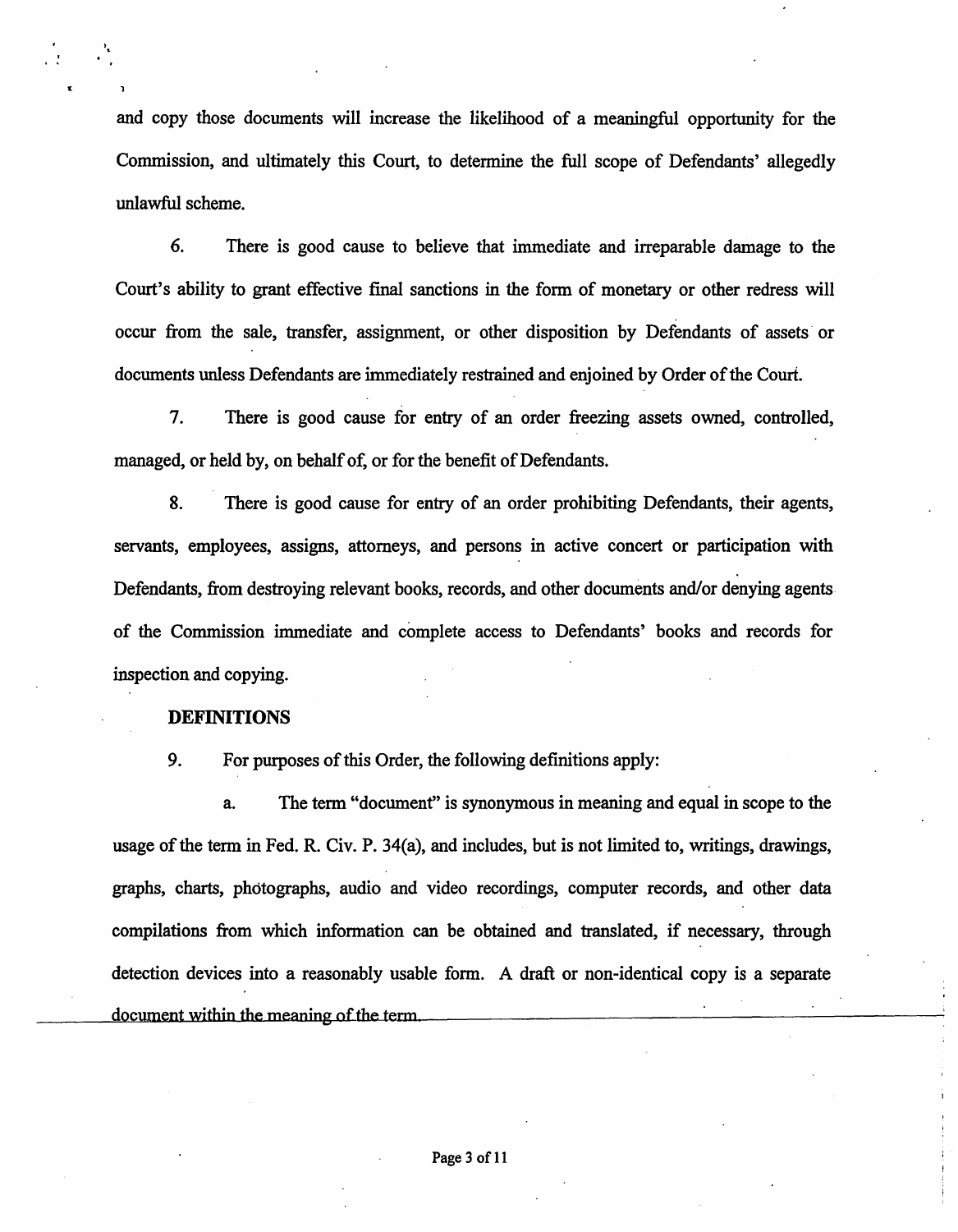and copy those documents will increase the likelihood of a meaningful opportunity for the Commission, and ultimately this Court, to determine the full scope of Defendants' allegedly unlawful scheme.

6. There is good cause to believe that immediate and irreparable damage to the Court's ability to grant effective final sanctions in the form of monetary or other redress will occur from the sale, transfer, assignment, or other disposition by Defendants of assets or documents unless Defendants are immediately restrained and enjoined by Order of the Court.

7. There is good cause for entry of an order freezing assets owned, controlled, managed, or held by, on behalf of, or for the benefit of Defendants.

8. There is good cause for entry of an order prohibiting Defendants, their agents, servants, employees, assigns, attorneys, and persons in active concert or participation with Defendants, from destroying relevant books, records, and other documents and/or denying agents of the Commission immediate and complete access to Defendants' books and records for inspection and copying.

#### **DEFINITIONS**

9. For purposes of this Order, the following definitions apply:

a. The term "document" is synonymous in meaning and equal in scope to the usage of the term in Fed. R. Civ. P. 34(a), and includes, but is not limited to, writings, drawings, graphs, charts, photographs, audio and video recordings, computer records, and other data compilations from which information can be obtained and translated, if necessary, through detection devices into a reasonably usable form. A draft or non-identical copy is a separate document within the meaning of the term.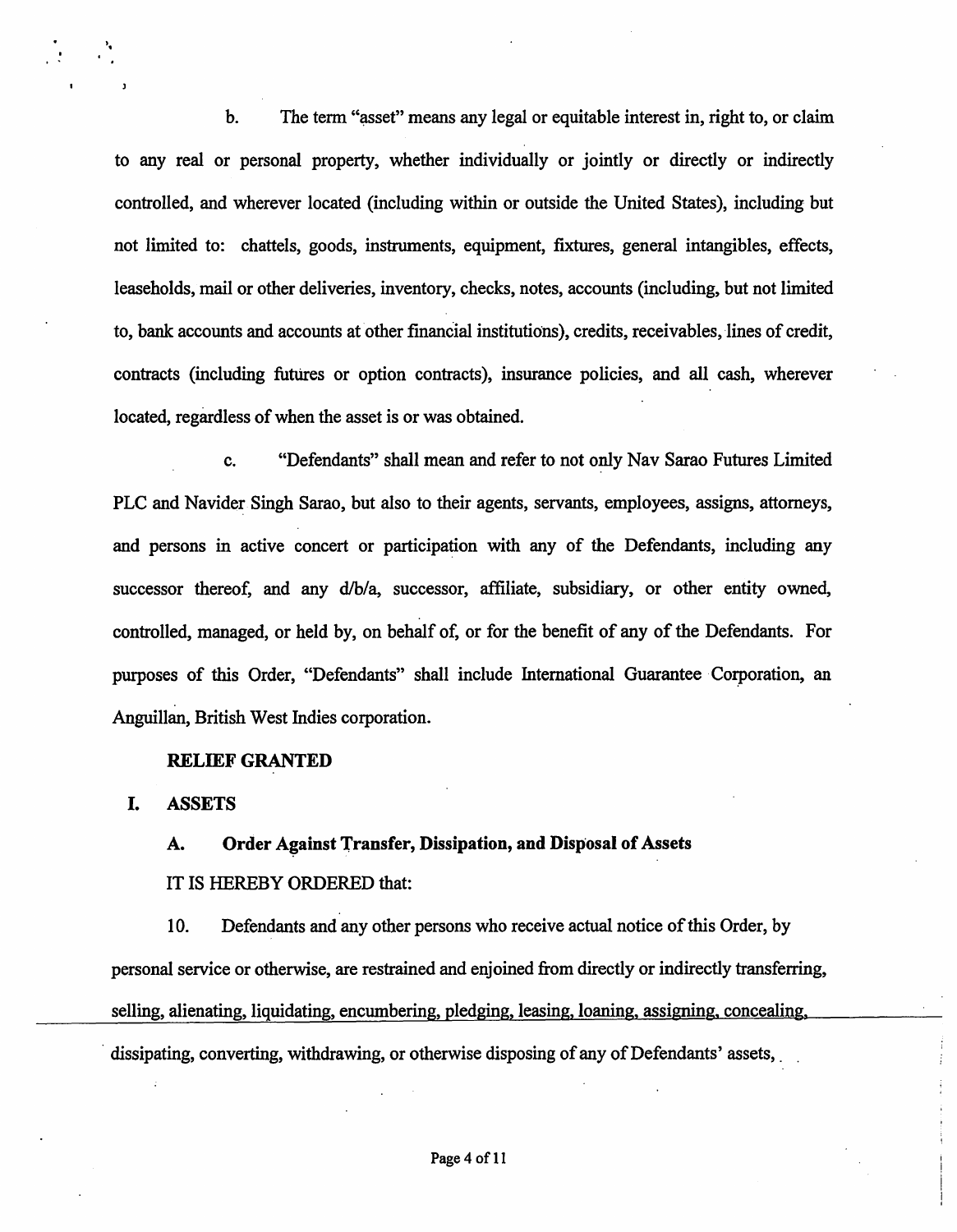b. The term "asset" means any legal or equitable interest in, right to, or claim to any real or personal property, whether individually or jointly or directly or indirectly controlled, and wherever located (including within or outside the United States), including but not limited to: chattels, goods, instruments, equipment, fixtures, general intangibles, effects, leaseholds, mail or other deliveries, inventory, checks, notes, accounts (including, but not limited to, bank accounts and accounts at other financial institutions), credits, receivables, lines of credit, contracts (including futures or option contracts), insurance policies, and all cash, wherever located, regardless of when the asset is or was obtained.

c. "Defendants" shall mean and refer to not only Nav Sarao Futures Limited PLC and Navider Singh Sarao, but also to their agents, servants, employees, assigns, attorneys, and persons in active concert or participation with any of the Defendants, including any successor thereof, and any  $d/b/a$ , successor, affiliate, subsidiary, or other entity owned, controlled, managed, or held by, on behalf of, or for the benefit of any of the Defendants. For purposes of this Order, "Defendants" shall include International Guarantee Corporation, an Anguillan, British West Indies corporation.

#### RELIEF GRANTED

I. ASSETS

I  $\cdot$  :

# A. Order Against Transfer, Dissipation, and Disposal of Assets

#### IT IS HEREBY ORDERED that:

10. Defendants and any other persons who receive actual notice of this Order, by personal service or otherwise, are restrained and enjoined from directly or indirectly transferring, selling, alienating, liquidating, encumbering, pledging, leasing, loaning, assigning, concealing, dissipating, converting, withdrawing, or otherwise disposing of any of Defendants' assets,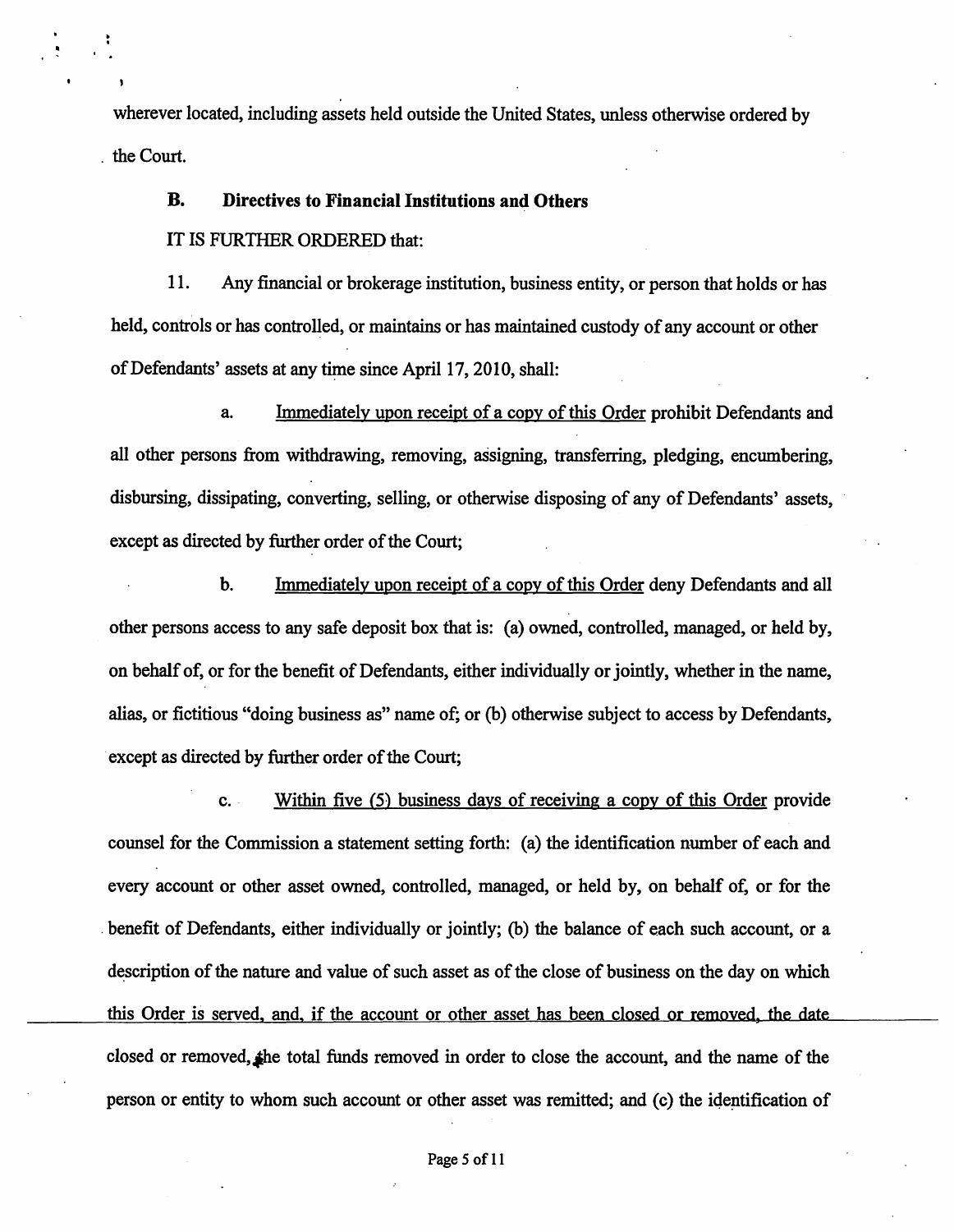wherever located, including assets held outside the United States, unless otherwise ordered by the Court.

# B. Directives to Financial Institutions and Others

IT IS FURTHER ORDERED that:

11. Any financial or brokerage institution, business entity, or person that holds or has held, controls or has controlled, or maintains or has maintained custody of any account or other of Defendants' assets at any time since April 17, 2010, shall:

a. Immediately upon receipt of a copy of this Order prohibit Defendants and all other persons from withdrawing, removing, assigning, transferring, pledging, encumbering, disbursing, dissipating, converting, selling, or otherwise disposing of any of Defendants' assets, except as directed by further order of the Court;

b. Immediately upon receipt of a copy of this Order deny Defendants and all other persons access to any safe deposit box that is: (a) owned, controlled, managed, or held by, on behalf of, or for the benefit of Defendants, either individually or jointly, whether in the name, alias, or fictitious "doing business as" name of; or (b) otherwise subject to access by Defendants, except as directed by further order of the Court;

c. . Within five (5) business days of receiving a copy of this Order provide counsel for the Commission a statement setting forth: (a) the identification number of each and every account or other asset owned, controlled, managed, or held by, on behalf of, or for the . benefit of Defendants, either individually or jointly; (b) the balance of each such account, or a description of the nature and value of such asset as of the close of business on the day on which this Order is served, and, if the account or other asset has been closed or removed, the date closed or removed, the total funds removed in order to close the account, and the name of the person or entity to whom such account or other asset was remitted; and (c) the identification of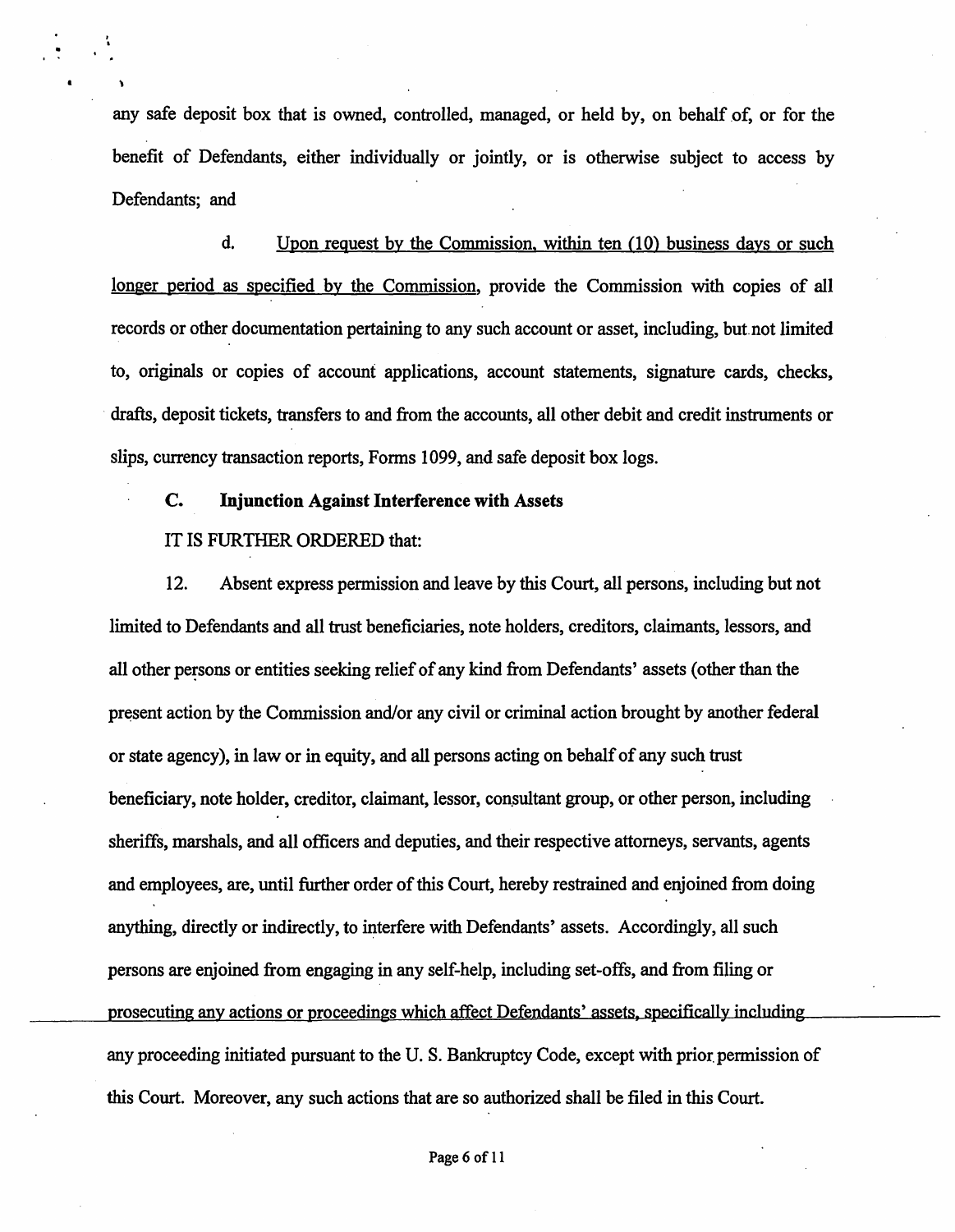any safe deposit box that is owned, controlled, managed, or held by, on behalf of, or for the benefit of Defendants, either individually or jointly, or is otherwise subject to access by Defendants; and

d. Upon request by the Commission, within ten (10) business days or such longer period as specified by the Commission, provide the Commission with copies of all records or other documentation pertaining to any such account or asset, including, but. not limited to, originals or copies of account applications, account statements, signature cards, checks, drafts, deposit tickets, transfers to and from the accounts, all other debit and credit instruments or slips, currency transaction reports, Forms 1099, and safe deposit box logs.

## C. Injunction Against Interference with Assets

### IT IS FURTHER ORDERED that:

 $\ddot{\phantom{1}}$ 

12. Absent express permission and leave by this Court, all persons, including but not limited to Defendants and all trust beneficiaries, note holders, creditors, claimants, lessors, and all other persons or entities seeking relief of any kind from Defendants' assets (other than the present action by the Commission and/or any civil or criminal action brought by another federal or state agency), in law or in equity, and all persons acting on behalf of any such trust beneficiary, note holder, creditor, claimant, lessor, consultant group, or other person, including sheriffs, marshals, and all officers and deputies, and their respective attorneys, servants, agents and employees, are, until further order of this Court, hereby restrained and enjoined from doing anything, directly or indirectly, to interfere with Defendants' assets. Accordingly, all such persons are enjoined from engaging in any self-help, including set-offs, and from filing or prosecuting any actions or proceedings which affect Defendants' assets, specifically including any proceeding initiated pursuant to the U.S. Bankruptcy Code, except with prior permission of this Court. Moreover, any such actions that are so authorized shall be filed in this Court.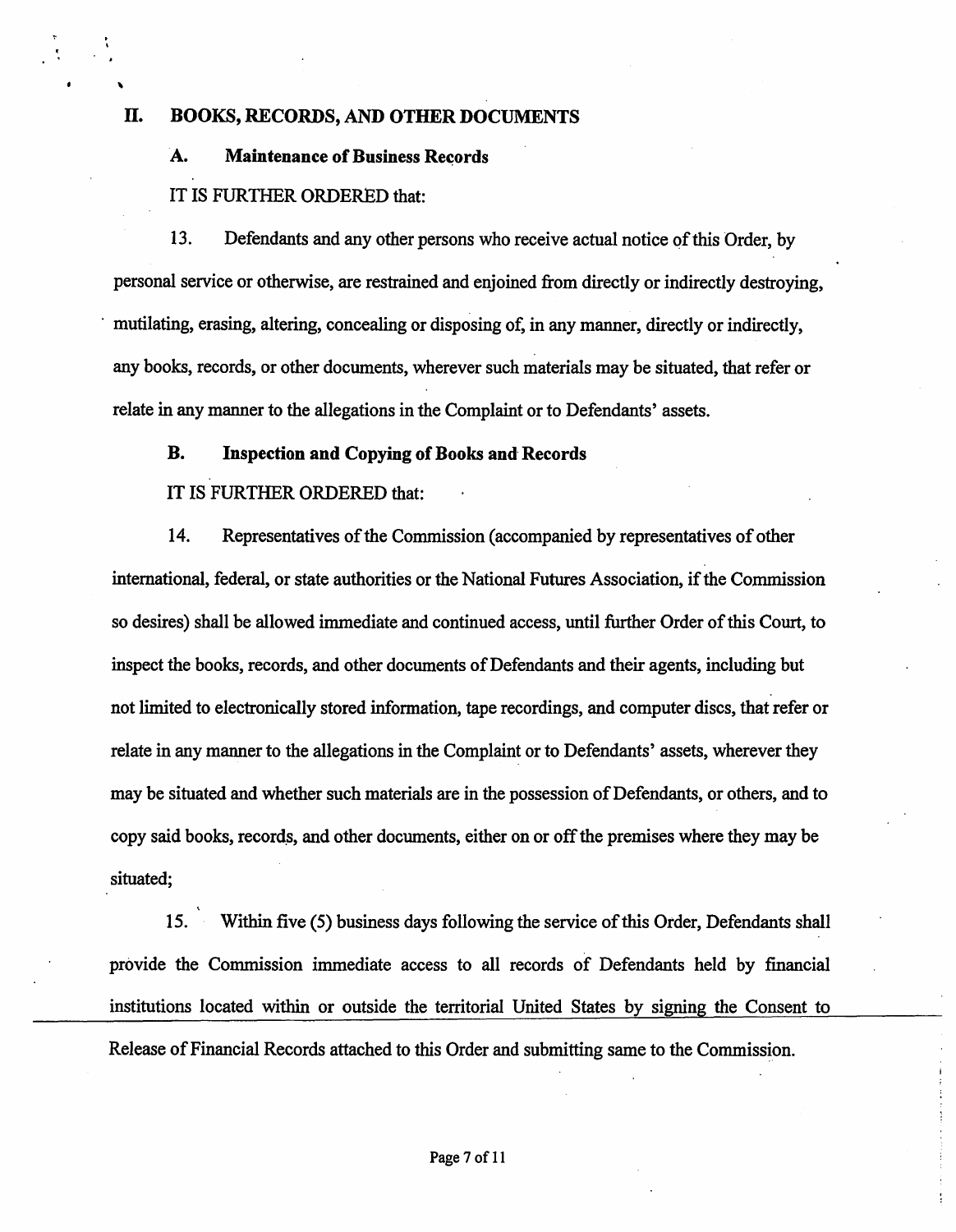### II. BOOKS, RECORDS, AND OTHER DOCUMENTS

#### A. Maintenance of Business Records

#### IT IS FURTHER ORDERED that:

\

13. Defendants and any other persons who receive actual notice of this Order, by personal service or otherwise, are restrained and enjoined from directly or indirectly destroying, mutilating, erasing, altering, concealing or disposing of, in any manner, directly or indirectly, any books, records, or other documents, wherever such materials may be situated, that refer or relate in any manner to the allegations in the Complaint or to Defendants' assets.

#### B. Inspection and Copying of Books and Records

#### IT IS FURTHER ORDERED that:

14. Representatives of the Commission (accompanied by representatives of other international, federal, or state authorities or the National Futures Association, if the Commission so desires) shall be allowed immediate and continued access, until further Order of this Court, to inspect the books, records, and other documents of Defendants and their agents, including but not limited to electronically stored information, tape recordings, and computer discs, that refer or relate in any manner to the allegations in the Complaint or to Defendants' assets, wherever they may be situated and whether such materials are in the possession of Defendants, or others, and to copy said books, records, and other documents, either on or off the premises where they may be situated;

15. Within five (5) business days following the service of this Order, Defendants shall provide the Commission immediate access to all records of Defendants held by financial institutions located within or outside the territorial United States by signing the Consent to Release of Financial Records attached to this Order and submitting same to the Commission.

#### Page 7 of 11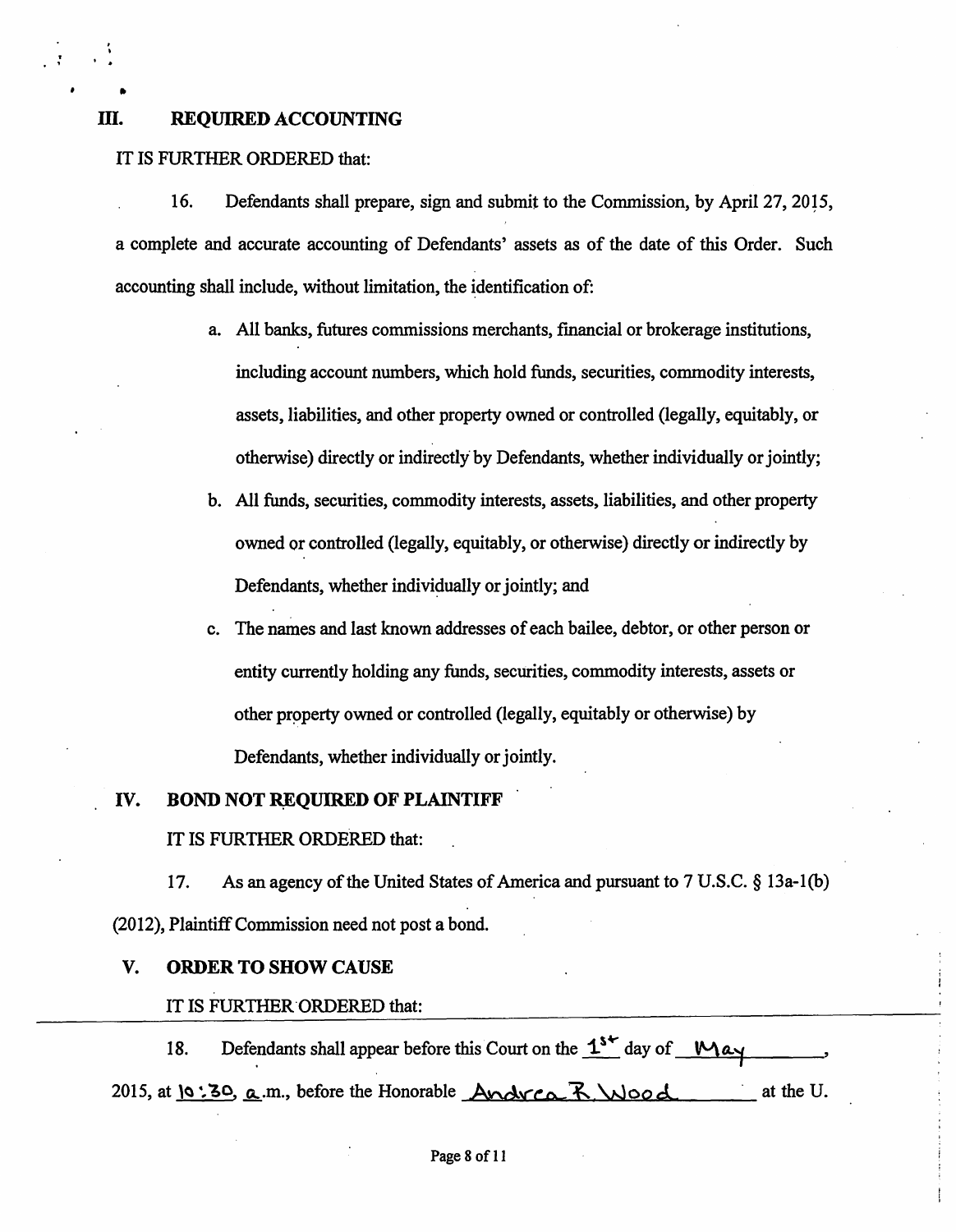## III. REQUIRED ACCOUNTING

IT IS FURTHER ORDERED that:

•

16. Defendants shall prepare, sign and submit to the Commission, by Apri127, 20!5, a complete and accurate accounting of Defendants' assets as of the date of this Order. Such accounting shall include, without limitation, the identification of:

- a. All banks, futures commissions merchants, fmancial or brokerage institutions, including account numbers, which hold funds, securities, commodity interests, assets, liabilities, and other property owned or controlled (legally, equitably, or otherwise) directly or indirectly· by Defendants, whether individually or jointly;
- b. All funds, securities, commodity interests, assets, liabilities, and other property owned or controlled (legally, equitably, or otherwise) directly or indirectly by Defendants, whether individually or jointly; and
- c. The names and last known addresses of each bailee, debtor, or other person or entity currently holding any funds, securities, commodity interests, assets or other property owned or controlled (legally, equitably or otherwise) by Defendants, whether individually or jointly.

### IV. BOND NOT REQUIRED OF PLAINTIFF

#### IT IS FURTHER ORDERED that:

17. As an agency of the United States of America and pursuant to 7 U.S.C. *§* 13a-1(b) (2012), Plaintiff Commission need not post a bond.

#### V. ORDER TO SHOW CAUSE

#### IT IS FURTHER ORDERED that:

18. Defendants shall appear before this Court on the  $1^{s*}$  day of  $\mu_{\text{day}}$ , 2015, at  $\alpha$ : 30,  $\alpha$ .m., before the Honorable  $\Delta x$   $\alpha \overline{x}$ .  $\Delta x$   $\alpha$  d... at the U.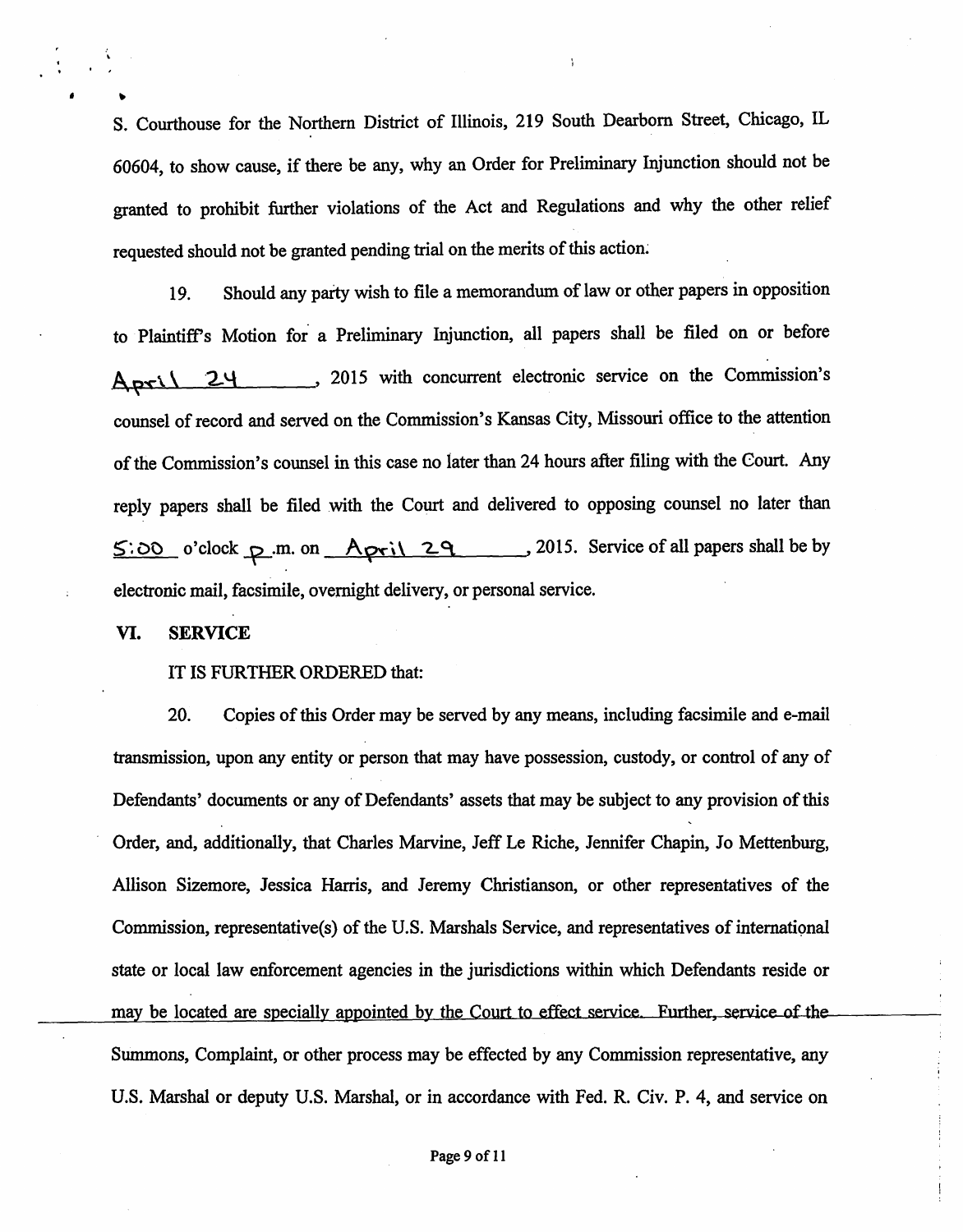S. Courthouse for the Northern District of Illinois, 219 South Dearborn Street, Chicago, IL 60604, to show cause, if there be any, why an Order for Preliminary Injunction should not be granted to prohibit further violations of the Act and Regulations and why the other relief requested should not be granted pending trial on the merits of this action.

19. Should any party wish to file a memorandum of law or other papers in opposition to Plaintiff's Motion for a Preliminary Injunction, all papers shall be filed on or before April 24. 2015 with concurrent electronic service on the Commission's counsel of record and served on the Commission's Kansas City, Missouri office to the attention of the Commission's counsel in this case no later than 24 hours after filing with the Court. Any reply papers shall be filed with the Court and delivered to opposing counsel no later than  $5:00$  o'clock p.m. on April 29. , 2015. Service of all papers shall be by electronic mail, facsimile, overnight delivery, or personal service.

#### VI. SERVICE

.. \

#### IT IS FURTHER ORDERED that:

20. Copies of this Order may be served by any means, including facsimile and e-mail transmission, upon any entity or person that may have possession, custody, or control of any of Defendants' documents or any of Defendants' assets that may be subject to any provision of this Order, and, additionally, that Charles Marvine, Jeff Le Riche, Jennifer Chapin, Jo Mettenburg, Allison Sizemore, Jessica Harris, and Jeremy Christianson, or other representatives of the Commission, representative(s) of the U.S. Marshals Service, and representatives of international state or local law enforcement agencies in the jurisdictions within which Defendants reside or may be located are specially appointed by the Court to effect service. Further, service of the Summons, Complaint, or other process may be effected by any Commission representative, any U.S. Marshal or deputy U.S. Marshal, or in accordance with Fed. R. Civ. P. 4, and service on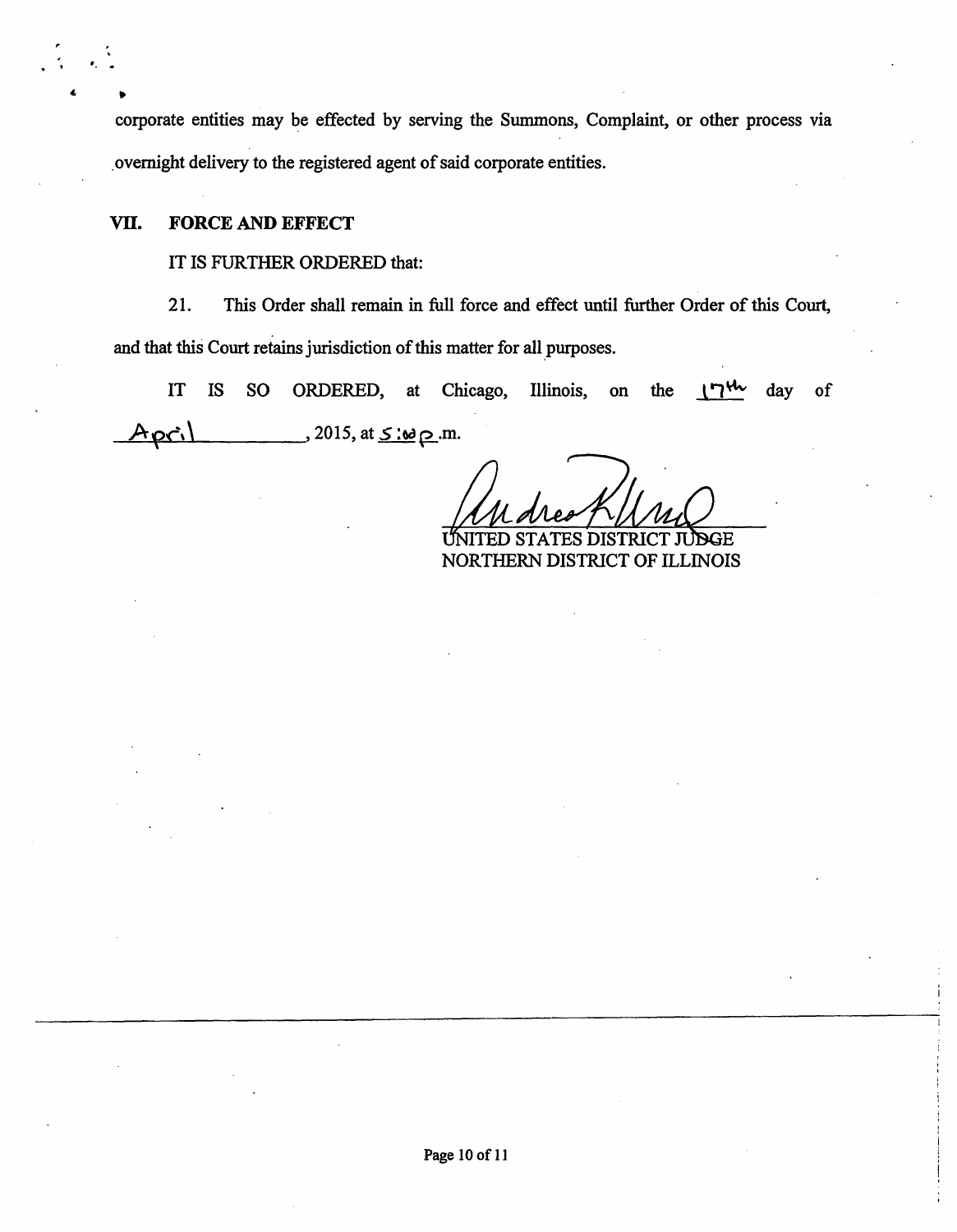• corporate entities may be effected by serving the Summons, Complaint, or other process via . overnight delivery to the registered agent of said corporate entities.

# VII. FORCE AND EFFECT

 $\mathcal{L}$ 

## IT IS FURTHER ORDERED that:

21. This Order shall remain in full force and effect until further Order of this Court, and that this Court retains jurisdiction of this matter for all\_purposes.

IT IS SO ORDERED, at Chicago, Illinois, on the  $17^{4}$  day of -..:...A~~..a..c\_.\_,\.....\_\_ \_\_\_\_ , 2015, at *<sup>s</sup>*:Od ~.m.

**DGE** 

NORTHERN DISTRICT OF ILLINOIS